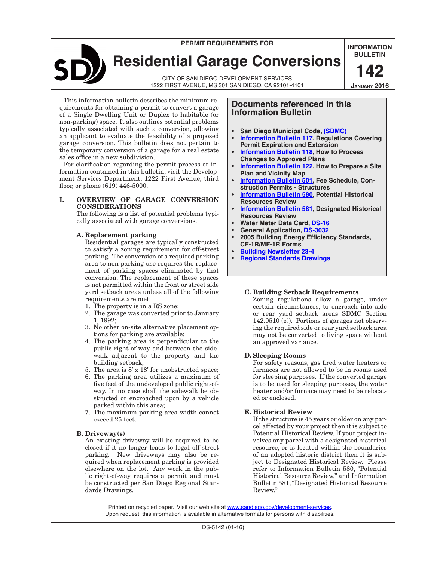# **Permit requirements for**

**Residential Garage Conversions**

CITY OF SAN DIEGO Development Services 1222 FIRST AVENUE, MS 301 SAN DIEGO, CA 92101-4101 **INFORMATION BULLETIN 142**

**January 2016**

This information bulletin describes the minimum requirements for obtaining a permit to convert a garage of a Single Dwelling Unit or Duplex to habitable (or non-parking) space. It also outlines potential problems typically associated with such a conversion, allowing an applicant to evaluate the feasibility of a proposed garage conversion. This bulletin does not pertain to the temporary conversion of a garage for a real estate sales office in a new subdivision.

For clarification regarding the permit process or information contained in this bulletin, visit the Development Services Department, 1222 First Avenue, third floor, or phone (619) 446-5000.

# **I. Overview of garage conversion considerations**

The following is a list of potential problems typically associated with garage conversions.

#### **A. Replacement parking**

Residential garages are typically constructed to satisfy a zoning requirement for off-street parking. The conversion of a required parking area to non-parking use requires the replacement of parking spaces eliminated by that conversion. The replacement of these spaces is not permitted within the front or street side yard setback areas unless all of the following requirements are met:

- 1. The property is in a RS zone;
- 2. The garage was converted prior to January 1, 1992;
- 3. No other on-site alternative placement options for parking are available;
- 4. The parking area is perpendicular to the public right-of-way and between the sidewalk adjacent to the property and the building setback;
- 5. The area is  $8' \times 18'$  for unobstructed space;
- 6. The parking area utilizes a maximum of five feet of the undeveloped public right-ofway. In no case shall the sidewalk be obstructed or encroached upon by a vehicle parked within this area;
- 7. The maximum parking area width cannot exceed 25 feet.

# **B. Driveway(s)**

An existing driveway will be required to be closed if it no longer leads to legal off-street parking. New driveways may also be required when replacement parking is provided elsewhere on the lot. Any work in the public right-of-way requires a permit and must be constructed per San Diego Regional Standards Drawings.

# **Documents referenced in this Information Bulletin**

- **San Diego Municipal Code, [\(SDMC\)](http://www.sandiego.gov/city-clerk/officialdocs/legisdocs/muni.shtml)**
- **• [Information Bulletin 117](http://www.sandiego.gov/sites/default/files/dsdib117.pdf), Regulations Covering Permit Expiration and Extension**
- **• [Information Bulletin 118](http://www.sandiego.gov/sites/default/files/dsdib118.pdf), How to Process Changes to Approved Plans**
- **• [Information Bulletin 122](http://www.sandiego.gov/sites/default/files/dsdib122.pdf), How to Prepare a Site Plan and Vicinity Map**
- **• [Information Bulletin 501](http://www.sandiego.gov/sites/default/files/dsdib501.pdf), Fee Schedule, Construction Permits - Structures**
- **• [Information Bulletin 580](http://www.sandiego.gov/sites/default/files/dsdib580.pdf), Potential Historical Resources Review**
- **• [Information Bulletin 581](http://www.sandiego.gov/sites/default/files/dsdib581.pdf), Designated Historical Resources Review**
- **• Water Meter Data Card, [DS-16](http://www.sandiego.gov/development-services/pdf/industry/forms/ds016.pdf)**
- **• General Application, [DS-3032](http://www.sandiego.gov/development-services/pdf/industry/forms/ds3032.pdf)**
- **• 2005 Building Energy Efficiency Standards, CF-1R/MF-1R Forms**
- **• [Building Newsletter 23-4](http://www.sandiego.gov/development-services/pdf/industry/bnl23-04.pdf)**
- **• [Regional Standards Drawings](http://www.sandiego.gov/engineering-cip/services/consultcontract/edocref/standarddraw/)**

# **C. Building Setback Requirements**

Zoning regulations allow a garage, under certain circumstances, to encroach into side or rear yard setback areas SDMC Section  $142.0510$  (e)). Portions of garages not observing the required side or rear yard setback area may not be converted to living space without an approved variance.

# **D. Sleeping Rooms**

For safety reasons, gas fired water heaters or furnaces are not allowed to be in rooms used for sleeping purposes. If the converted garage is to be used for sleeping purposes, the water heater and/or furnace may need to be relocated or enclosed.

#### **E. Historical Review**

If the structure is 45 years or older on any parcel affected by your project then it is subject to Potential Historical Review. If your project involves any parcel with a designated historical resource, or is located within the boundaries of an adopted historic district then it is subject to Designated Historical Review. Please refer to Information Bulletin 580, "Potential Historical Resource Review," and Information Bulletin 581, "Designated Historical Resource Review."

Printed on recycled paper. Visit our web site at [www.sandiego.gov/development-services.](http://sandiego.gov/development-services) Upon request, this information is available in alternative formats for persons with disabilities.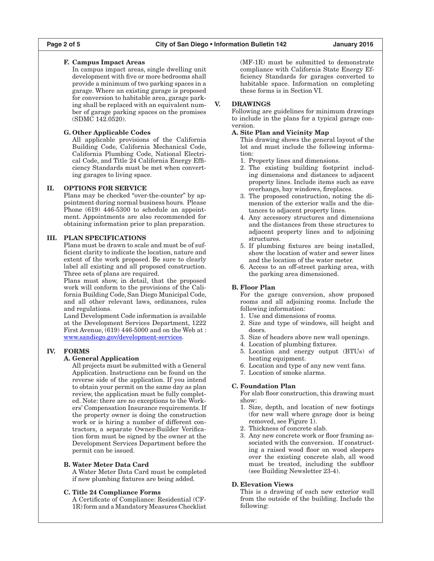## **F. Campus Impact Areas**

In campus impact areas, single dwelling unit development with five or more bedrooms shall provide a minimum of two parking spaces in a garage. Where an existing garage is proposed for conversion to habitable area, garage parking shall be replaced with an equivalent number of garage parking spaces on the promises (SDMC 142.0520).

## **G. Other Applicable Codes**

All applicable provisions of the California Building Code, California Mechanical Code, California Plumbing Code, National Electrical Code, and Title 24 California Energy Efficiency Standards must be met when converting garages to living space.

## **II. Options for Service**

Plans may be checked "over-the-counter" by appointment during normal business hours. Please Phone (619) 446-5300 to schedule an appointment. Appointments are also recommended for obtaining information prior to plan preparation.

# **III. Plan Specifications**

Plans must be drawn to scale and must be of sufficient clarity to indicate the location, nature and extent of the work proposed. Be sure to clearly label all existing and all proposed construction. Three sets of plans are required.

Plans must show, in detail, that the proposed work will conform to the provisions of the California Building Code, San Diego Municipal Code, and all other relevant laws, ordinances, rules and regulations.

Land Development Code information is available at the Development Services Department, 1222 First Avenue, (619) 446-5000 and on the Web at : [www.sandiego.gov/development-services.](http://sandiego.gov/development-services)

#### **IV. Forms**

# **A. General Application**

All projects must be submitted with a General Application. Instructions can be found on the reverse side of the application. If you intend to obtain your permit on the same day as plan review, the application must be fully completed. Note: there are no exceptions to the Workers' Compensation Insurance requirements. If the property owner is doing the construction work or is hiring a number of different contractors, a separate Owner-Builder Verification form must be signed by the owner at the Development Services Department before the permit can be issued.

#### **B. Water Meter Data Card**

A Water Meter Data Card must be completed if new plumbing fixtures are being added.

#### **C. Title 24 Compliance Forms**

A Certificate of Compliance: Residential (CF-1R) form and a Mandatory Measures Checklist (MF-1R) must be submitted to demonstrate compliance with California State Energy Efficiency Standards for garages converted to habitable space. Information on completing these forms is in Section VI.

#### **V. Drawings**

Following are guidelines for minimum drawings to include in the plans for a typical garage conversion.

## **A. Site Plan and Vicinity Map**

- This drawing shows the general layout of the lot and must include the following information:
- 1. Property lines and dimensions.
- 2. The existing building footprint including dimensions and distances to adjacent property lines. Include items such as eave overhangs, bay windows, fireplaces.
- 3. The proposed construction, noting the dimension of the exterior walls and the distances to adjacent property lines.
- 4. Any accessory structures and dimensions and the distances from these structures to adjacent property lines and to adjoining structures.
- 5. If plumbing fixtures are being installed, show the location of water and sewer lines and the location of the water meter.
- 6. Access to an off-street parking area, with the parking area dimensioned.

#### **B. Floor Plan**

For the garage conversion, show proposed rooms and all adjoining rooms. Include the following information:

- 1. Use and dimensions of rooms.
- 2. Size and type of windows, sill height and doors.
- 3. Size of headers above new wall openings.
- 4. Location of plumbing fixtures.
- 5. Location and energy output (BTUs) of heating equipment.
- 6. Location and type of any new vent fans.
- 7. Location of smoke alarms.

#### **C. Foundation Plan**

For slab floor construction, this drawing must show:

- 1. Size, depth, and location of new footings (for new wall where garage door is being removed, see Figure 1).
- 2. Thickness of concrete slab.
- 3. Any new concrete work or floor framing associated with the conversion. If constructing a raised wood floor on wood sleepers over the existing concrete slab, all wood must be treated, including the subfloor (see Building Newsletter 23-4).

## **D. Elevation Views**

This is a drawing of each new exterior wall from the outside of the building. Include the following: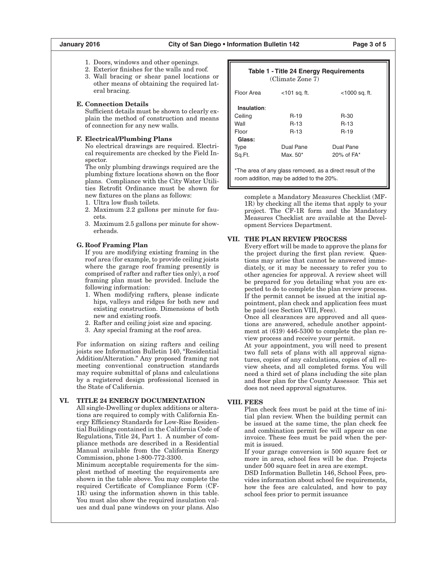- 1. Doors, windows and other openings.
- 2. Exterior finishes for the walls and roof.
- 3. Wall bracing or shear panel locations or other means of obtaining the required lateral bracing.

## **E. Connection Details**

Sufficient details must be shown to clearly explain the method of construction and means of connection for any new walls.

#### **F. Electrical/Plumbing Plans**

No electrical drawings are required. Electrical requirements are checked by the Field Inspector.

The only plumbing drawings required are the plumbing fixture locations shown on the floor plans. Compliance with the City Water Utilities Retrofit Ordinance must be shown for new fixtures on the plans as follows:

- 1. Ultra low flush toilets.
- 2. Maximum 2.2 gallons per minute for faucets.
- 3. Maximum 2.5 gallons per minute for showerheads.

#### **G. Roof Framing Plan**

If you are modifying existing framing in the roof area (for example, to provide ceiling joists where the garage roof framing presently is comprised of rafter and rafter ties only), a roof framing plan must be provided. Include the following information:

- 1. When modifying rafters, please indicate hips, valleys and ridges for both new and existing construction. Dimensions of both new and existing roofs.
- 2. Rafter and ceiling joist size and spacing.
- 3. Any special framing at the roof area.

For information on sizing rafters and ceiling joists see Information Bulletin 140, "Residential Addition/Alteration." Any proposed framing not meeting conventional construction standards may require submittal of plans and calculations by a registered design professional licensed in the State of California.

# **VI. Title 24 Energy Documentation**

All single-Dwelling or duplex additions or alterations are required to comply with California Energy Efficiency Standards for Low-Rise Residential Buildings contained in the California Code of Regulations, Title 24, Part 1. A number of compliance methods are described in a Residential Manual available from the California Energy Commission, phone 1-800-772-3300.

Minimum acceptable requirements for the simplest method of meeting the requirements are shown in the table above. You may complete the required Certificate of Compliance Form (CF-1R) using the information shown in this table. You must also show the required insulation values and dual pane windows on your plans. Also

| Table 1 - Title 24 Energy Requirements<br>(Climate Zone 7)                                           |                      |                  |
|------------------------------------------------------------------------------------------------------|----------------------|------------------|
| Floor Area                                                                                           | $<$ 101 sq. ft.      | $<$ 1000 sq. ft. |
| Insulation:                                                                                          |                      |                  |
| Ceiling                                                                                              | $R-19$               | <b>R-30</b>      |
| Wall                                                                                                 | <b>R-13</b>          | R-13             |
| Floor                                                                                                | <b>R-13</b>          | $R-19$           |
| Glass:                                                                                               |                      |                  |
| <b>Type</b>                                                                                          | Dual Pane            | Dual Pane        |
| Sq.Ft.                                                                                               | Max. 50 <sup>*</sup> | 20% of $FA*$     |
| *The area of any glass removed, as a direct result of the<br>room addition, may be added to the 20%. |                      |                  |

complete a Mandatory Measures Checklist (MF-1R) by checking all the items that apply to your project. The CF-1R form and the Mandatory Measures Checklist are available at the Development Services Department.

#### **VII. The Plan Review Process**

Every effort will be made to approve the plans for the project during the first plan review. Questions may arise that cannot be answered immediately, or it may be necessary to refer you to other agencies for approval. A review sheet will be prepared for you detailing what you are expected to do to complete the plan review process. If the permit cannot be issued at the initial appointment, plan check and application fees must be paid (see Section VIII, Fees).

Once all clearances are approved and all questions are answered, schedule another appointment at (619) 446-5300 to complete the plan review process and receive your permit.

At your appointment, you will need to present two full sets of plans with all approval signatures, copies of any calculations, copies of all review sheets, and all completed forms. You will need a third set of plans including the site plan and floor plan for the County Assessor. This set does not need approval signatures.

#### **VIII. Fees**

Plan check fees must be paid at the time of initial plan review. When the building permit can be issued at the same time, the plan check fee and combination permit fee will appear on one invoice. These fees must be paid when the permit is issued.

If your garage conversion is 500 square feet or more in area, school fees will be due. Projects under 500 square feet in area are exempt.

DSD Information Bulletin 146, School Fees, provides information about school fee requirements, how the fees are calculated, and how to pay school fees prior to permit issuance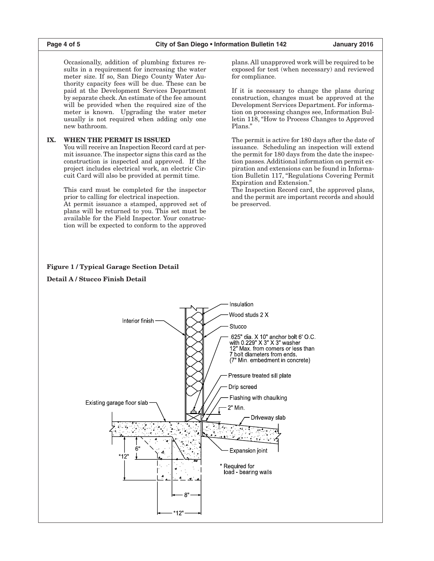Occasionally, addition of plumbing fixtures results in a requirement for increasing the water meter size. If so, San Diego County Water Authority capacity fees will be due. These can be paid at the Development Services Department by separate check. An estimate of the fee amount will be provided when the required size of the meter is known. Upgrading the water meter usually is not required when adding only one new bathroom.

# **IX. When the Permit is Issued**

You will receive an Inspection Record card at permit issuance. The inspector signs this card as the construction is inspected and approved. If the project includes electrical work, an electric Circuit Card will also be provided at permit time.

This card must be completed for the inspector prior to calling for electrical inspection.

At permit issuance a stamped, approved set of plans will be returned to you. This set must be available for the Field Inspector. Your construction will be expected to conform to the approved plans. All unapproved work will be required to be exposed for test (when necessary) and reviewed for compliance.

If it is necessary to change the plans during construction, changes must be approved at the Development Services Department. For information on processing changes see, Information Bulletin 118, "How to Process Changes to Approved Plans."

The permit is active for 180 days after the date of issuance. Scheduling an inspection will extend the permit for 180 days from the date the inspection passes. Additional information on permit expiration and extensions can be found in Information Bulletin 117, "Regulations Covering Permit Expiration and Extension."

The Inspection Record card, the approved plans, and the permit are important records and should be preserved.

#### **Figure 1 / Typical Garage Section Detail**

**Detail A / Stucco Finish Detail**